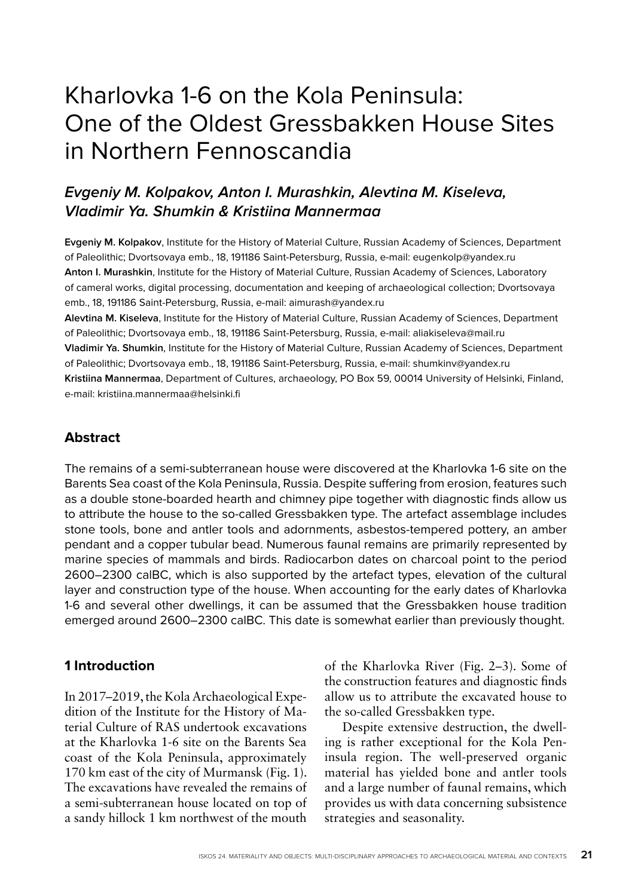# Kharlovka 1-6 on the Kola Peninsula: One of the Oldest Gressbakken House Sites in Northern Fennoscandia

# **Evgeniy M. Kolpakov, Anton I. Murashkin, Alevtina M. Kiseleva, Vladimir Ya. Shumkin & Kristiina Mannermaa**

**Evgeniy M. Kolpakov**, Institute for the History of Material Culture, Russian Academy of Sciences, Department of Paleolithic; Dvortsovaya emb., 18, 191186 Saint-Petersburg, Russia, e-mail: eugenkolp@yandex.ru **Anton I. Murashkin**, Institute for the History of Material Culture, Russian Academy of Sciences, Laboratory of cameral works, digital processing, documentation and keeping of archaeological collection; Dvortsovaya emb., 18, 191186 Saint-Petersburg, Russia, e-mail: aimurash@yandex.ru

**Alevtina M. Kiseleva**, Institute for the History of Material Culture, Russian Academy of Sciences, Department of Paleolithic; Dvortsovaya emb., 18, 191186 Saint-Petersburg, Russia, e-mail: aliakiseleva@mail.ru **Vladimir Ya. Shumkin**, Institute for the History of Material Culture, Russian Academy of Sciences, Department of Paleolithic; Dvortsovaya emb., 18, 191186 Saint-Petersburg, Russia, e-mail: shumkinv@yandex.ru **Kristiina Mannermaa**, Department of Cultures, archaeology, PO Box 59, 00014 University of Helsinki, Finland, e-mail: kristiina.mannermaa@helsinki.fi

# **Abstract**

The remains of a semi-subterranean house were discovered at the Kharlovka 1-6 site on the Barents Sea coast of the Kola Peninsula, Russia. Despite suffering from erosion, features such as a double stone-boarded hearth and chimney pipe together with diagnostic finds allow us to attribute the house to the so-called Gressbakken type. The artefact assemblage includes stone tools, bone and antler tools and adornments, asbestos-tempered pottery, an amber pendant and a copper tubular bead. Numerous faunal remains are primarily represented by marine species of mammals and birds. Radiocarbon dates on charcoal point to the period 2600–2300 calBC, which is also supported by the artefact types, elevation of the cultural layer and construction type of the house. When accounting for the early dates of Kharlovka 1-6 and several other dwellings, it can be assumed that the Gressbakken house tradition emerged around 2600–2300 calBC. This date is somewhat earlier than previously thought.

# **1 Introduction**

In 2017–2019, the Kola Archaeological Expedition of the Institute for the History of Material Culture of RAS undertook excavations at the Kharlovka 1-6 site on the Barents Sea coast of the Kola Peninsula, approximately 170 km east of the city of Murmansk (Fig. 1). The excavations have revealed the remains of a semi-subterranean house located on top of a sandy hillock 1 km northwest of the mouth

of the Kharlovka River (Fig. 2–3). Some of the construction features and diagnostic finds allow us to attribute the excavated house to the so-called Gressbakken type.

Despite extensive destruction, the dwelling is rather exceptional for the Kola Peninsula region. The well-preserved organic material has yielded bone and antler tools and a large number of faunal remains, which provides us with data concerning subsistence strategies and seasonality.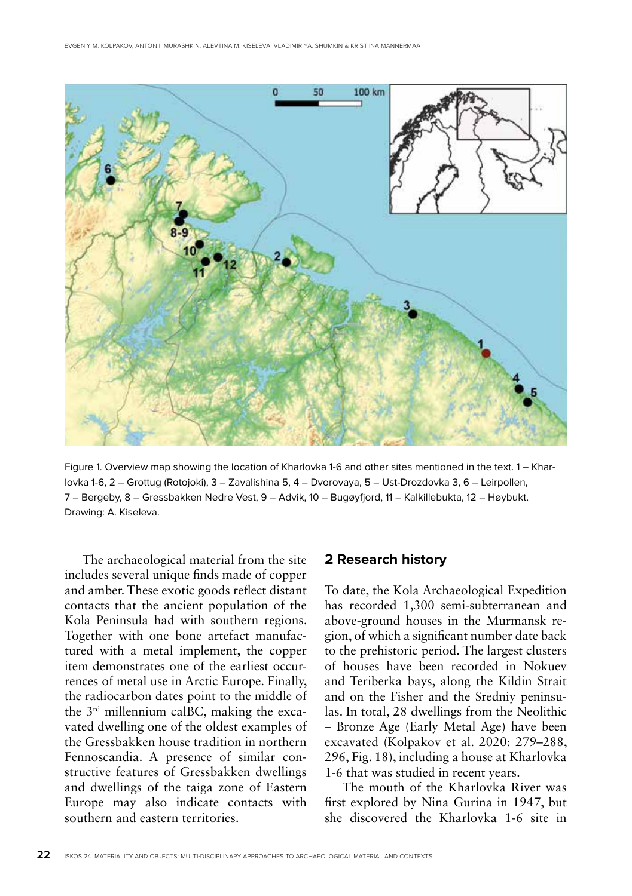

Figure 1. Overview map showing the location of Kharlovka 1-6 and other sites mentioned in the text. 1 – Kharlovka 1-6, 2 – Grottug (Rotojoki), 3 – Zavalishina 5, 4 – Dvorovaya, 5 – Ust-Drozdovka 3, 6 – Leirpollen, 7 – Bergeby, 8 – Gressbakken Nedre Vest, 9 – Advik, 10 – Bugøyfjord, 11 – Kalkillebukta, 12 – Høybukt. Drawing: A. Kiseleva.

The archaeological material from the site includes several unique finds made of copper and amber. These exotic goods reflect distant contacts that the ancient population of the Kola Peninsula had with southern regions. Together with one bone artefact manufactured with a metal implement, the copper item demonstrates one of the earliest occurrences of metal use in Arctic Europe. Finally, the radiocarbon dates point to the middle of the 3rd millennium calBC, making the excavated dwelling one of the oldest examples of the Gressbakken house tradition in northern Fennoscandia. A presence of similar constructive features of Gressbakken dwellings and dwellings of the taiga zone of Eastern Europe may also indicate contacts with southern and eastern territories.

### **2 Research history**

To date, the Kola Archaeological Expedition has recorded 1,300 semi-subterranean and above-ground houses in the Murmansk region, of which a significant number date back to the prehistoric period. The largest clusters of houses have been recorded in Nokuev and Teriberka bays, along the Kildin Strait and on the Fisher and the Sredniy peninsulas. In total, 28 dwellings from the Neolithic – Bronze Age (Early Metal Age) have been excavated (Kolpakov et al. 2020: 279–288, 296, Fig. 18), including a house at Kharlovka 1-6 that was studied in recent years.

The mouth of the Kharlovka River was first explored by Nina Gurina in 1947, but she discovered the Kharlovka 1-6 site in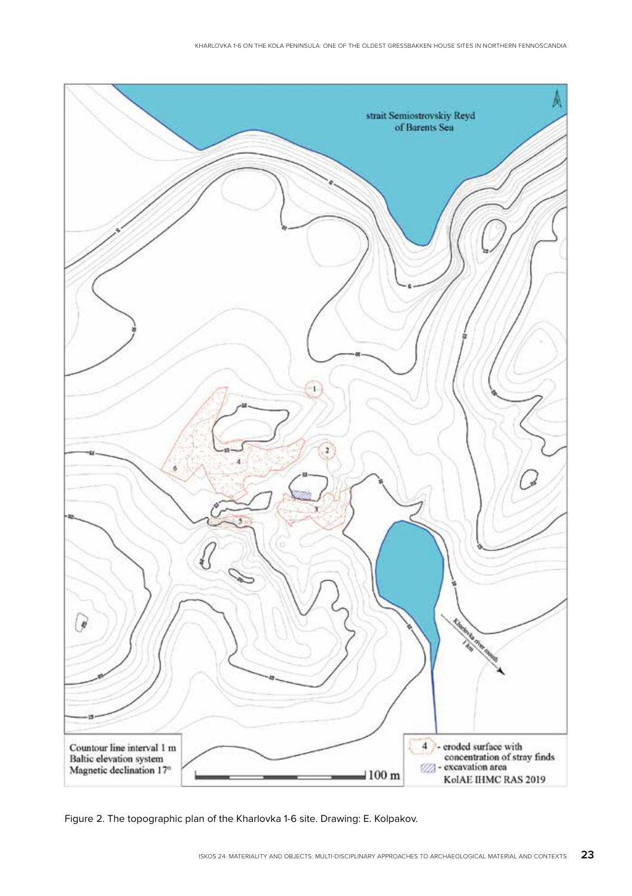

Figure 2. The topographic plan of the Kharlovka 1-6 site. Drawing: E. Kolpakov.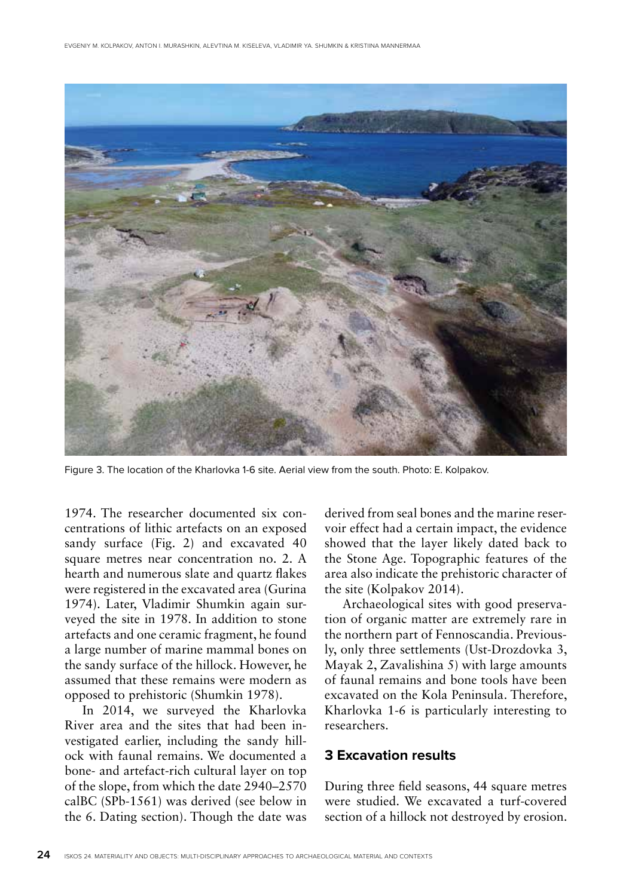

Figure 3. The location of the Kharlovka 1-6 site. Aerial view from the south. Photo: E. Kolpakov.

1974. The researcher documented six concentrations of lithic artefacts on an exposed sandy surface (Fig. 2) and excavated 40 square metres near concentration no. 2. A hearth and numerous slate and quartz flakes were registered in the excavated area (Gurina 1974). Later, Vladimir Shumkin again surveyed the site in 1978. In addition to stone artefacts and one ceramic fragment, he found a large number of marine mammal bones on the sandy surface of the hillock. However, he assumed that these remains were modern as opposed to prehistoric (Shumkin 1978).

In 2014, we surveyed the Kharlovka River area and the sites that had been investigated earlier, including the sandy hillock with faunal remains. We documented a bone- and artefact-rich cultural layer on top of the slope, from which the date 2940–2570 calBC (SPb-1561) was derived (see below in the 6. Dating section). Though the date was derived from seal bones and the marine reservoir effect had a certain impact, the evidence showed that the layer likely dated back to the Stone Age. Topographic features of the area also indicate the prehistoric character of the site (Kolpakov 2014).

Archaeological sites with good preservation of organic matter are extremely rare in the northern part of Fennoscandia. Previously, only three settlements (Ust-Drozdovka 3, Mayak 2, Zavalishina 5) with large amounts of faunal remains and bone tools have been excavated on the Kola Peninsula. Therefore, Kharlovka 1-6 is particularly interesting to researchers.

### **3 Excavation results**

During three field seasons, 44 square metres were studied. We excavated a turf-covered section of a hillock not destroyed by erosion.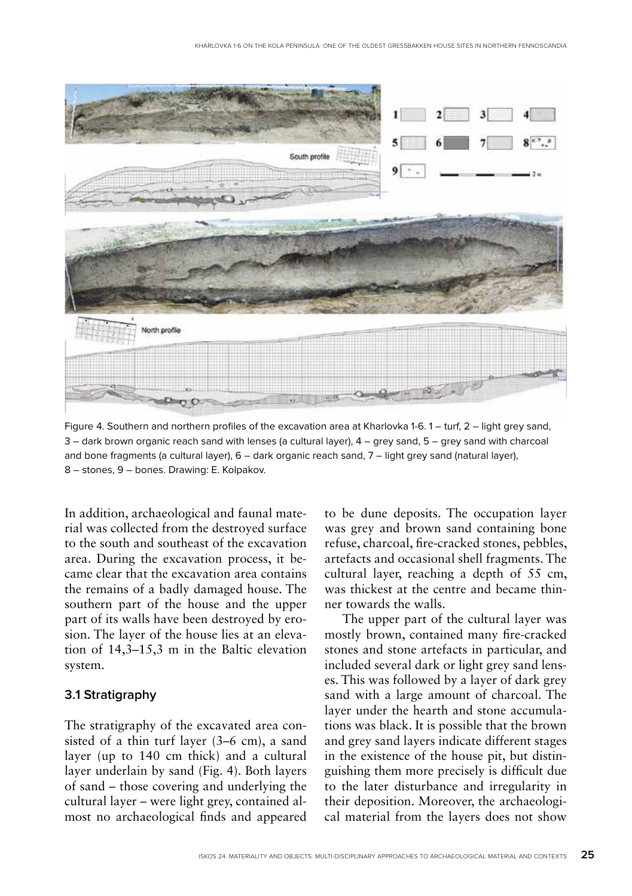

Figure 4. Southern and northern profiles of the excavation area at Kharlovka 1-6. 1 – turf, 2 – light grey sand, 3 – dark brown organic reach sand with lenses (a cultural layer), 4 – grey sand, 5 – grey sand with charcoal and bone fragments (a cultural layer), 6 – dark organic reach sand, 7 – light grey sand (natural layer), 8 – stones, 9 – bones. Drawing: E. Kolpakov.

In addition, archaeological and faunal material was collected from the destroyed surface to the south and southeast of the excavation area. During the excavation process, it became clear that the excavation area contains the remains of a badly damaged house. The southern part of the house and the upper part of its walls have been destroyed by erosion. The layer of the house lies at an elevation of 14,3–15,3 m in the Baltic elevation system.

# **3.1 Stratigraphy**

The stratigraphy of the excavated area consisted of a thin turf layer (3–6 cm), a sand layer (up to 140 cm thick) and a cultural layer underlain by sand (Fig. 4). Both layers of sand – those covering and underlying the cultural layer – were light grey, contained almost no archaeological finds and appeared to be dune deposits. The occupation layer was grey and brown sand containing bone refuse, charcoal, fire-cracked stones, pebbles, artefacts and occasional shell fragments. The cultural layer, reaching a depth of 55 cm, was thickest at the centre and became thinner towards the walls.

The upper part of the cultural layer was mostly brown, contained many fire-cracked stones and stone artefacts in particular, and included several dark or light grey sand lenses. This was followed by a layer of dark grey sand with a large amount of charcoal. The layer under the hearth and stone accumulations was black. It is possible that the brown and grey sand layers indicate different stages in the existence of the house pit, but distinguishing them more precisely is difficult due to the later disturbance and irregularity in their deposition. Moreover, the archaeological material from the layers does not show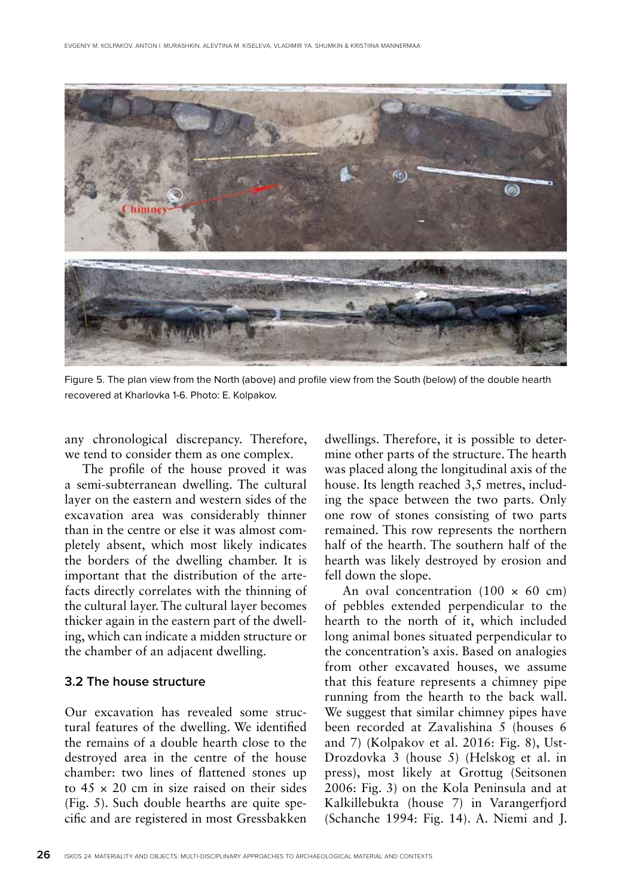

Figure 5. The plan view from the North (above) and profile view from the South (below) of the double hearth recovered at Kharlovka 1-6. Photo: E. Kolpakov.

any chronological discrepancy. Therefore, we tend to consider them as one complex.

The profile of the house proved it was a semi-subterranean dwelling. The cultural layer on the eastern and western sides of the excavation area was considerably thinner than in the centre or else it was almost completely absent, which most likely indicates the borders of the dwelling chamber. It is important that the distribution of the artefacts directly correlates with the thinning of the cultural layer. The cultural layer becomes thicker again in the eastern part of the dwelling, which can indicate a midden structure or the chamber of an adjacent dwelling.

### **3.2 The house structure**

Our excavation has revealed some structural features of the dwelling. We identified the remains of a double hearth close to the destroyed area in the centre of the house chamber: two lines of flattened stones up to  $45 \times 20$  cm in size raised on their sides (Fig. 5). Such double hearths are quite specific and are registered in most Gressbakken

dwellings. Therefore, it is possible to determine other parts of the structure. The hearth was placed along the longitudinal axis of the house. Its length reached 3,5 metres, including the space between the two parts. Only one row of stones consisting of two parts remained. This row represents the northern half of the hearth. The southern half of the hearth was likely destroyed by erosion and fell down the slope.

An oval concentration  $(100 \times 60 \text{ cm})$ of pebbles extended perpendicular to the hearth to the north of it, which included long animal bones situated perpendicular to the concentration's axis. Based on analogies from other excavated houses, we assume that this feature represents a chimney pipe running from the hearth to the back wall. We suggest that similar chimney pipes have been recorded at Zavalishina 5 (houses 6 and 7) (Kolpakov et al. 2016: Fig. 8), Ust-Drozdovka 3 (house 5) (Helskog et al. in press), most likely at Grottug (Seitsonen 2006: Fig. 3) on the Kola Peninsula and at Kalkillebukta (house 7) in Varangerfjord (Schanche 1994: Fig. 14). A. Niemi and J.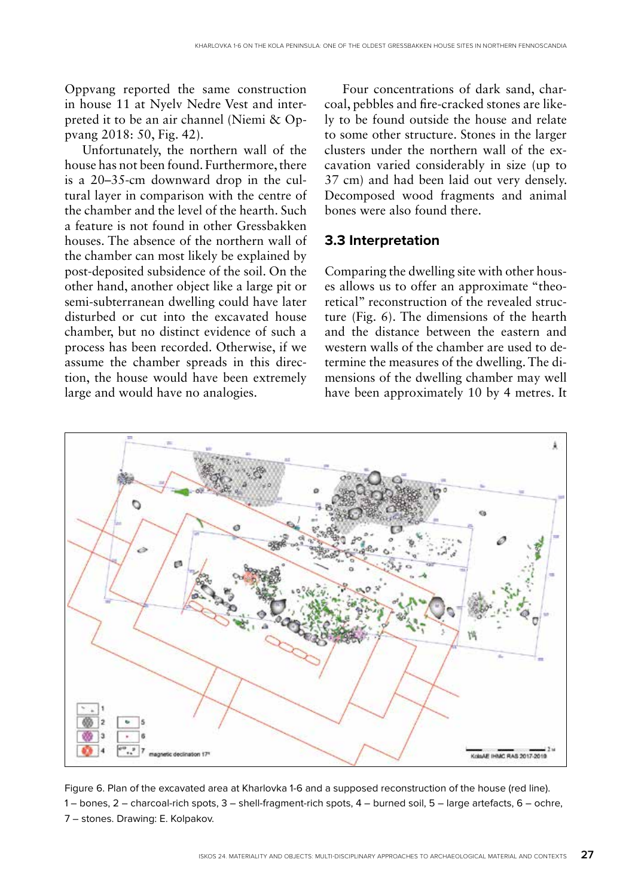Oppvang reported the same construction in house 11 at Nyelv Nedre Vest and interpreted it to be an air channel (Niemi & Oppvang 2018: 50, Fig. 42).

Unfortunately, the northern wall of the house has not been found. Furthermore, there is a 20–35-cm downward drop in the cultural layer in comparison with the centre of the chamber and the level of the hearth. Such a feature is not found in other Gressbakken houses. The absence of the northern wall of the chamber can most likely be explained by post-deposited subsidence of the soil. On the other hand, another object like a large pit or semi-subterranean dwelling could have later disturbed or cut into the excavated house chamber, but no distinct evidence of such a process has been recorded. Otherwise, if we assume the chamber spreads in this direction, the house would have been extremely large and would have no analogies.

Four concentrations of dark sand, charcoal, pebbles and fire-cracked stones are likely to be found outside the house and relate to some other structure. Stones in the larger clusters under the northern wall of the excavation varied considerably in size (up to 37 cm) and had been laid out very densely. Decomposed wood fragments and animal bones were also found there.

### **3.3 Interpretation**

Comparing the dwelling site with other houses allows us to offer an approximate "theoretical" reconstruction of the revealed structure (Fig. 6). The dimensions of the hearth and the distance between the eastern and western walls of the chamber are used to determine the measures of the dwelling. The dimensions of the dwelling chamber may well have been approximately 10 by 4 metres. It



Figure 6. Plan of the excavated area at Kharlovka 1-6 and a supposed reconstruction of the house (red line). 1 – bones, 2 – charcoal-rich spots, 3 – shell-fragment-rich spots, 4 – burned soil, 5 – large artefacts, 6 – ochre, 7 – stones. Drawing: E. Kolpakov.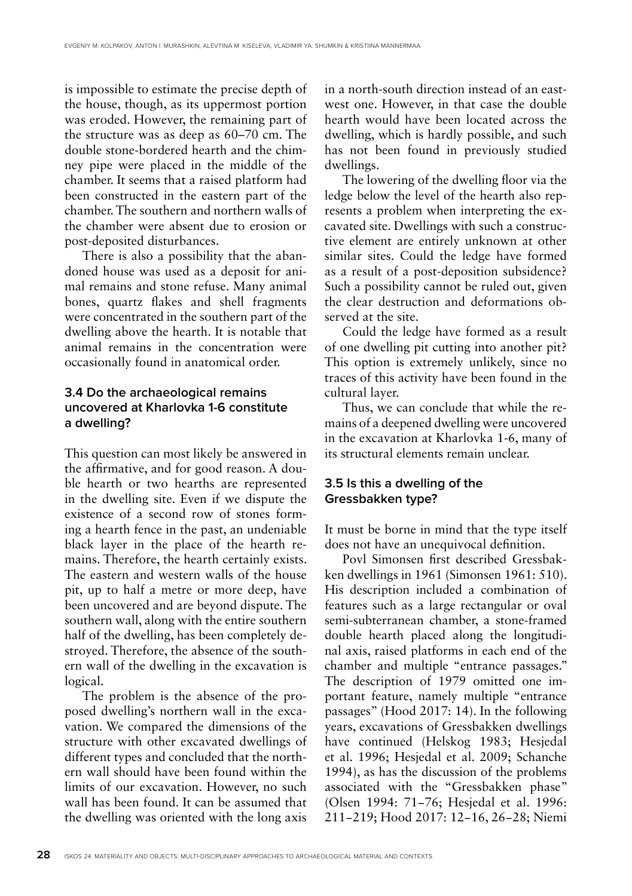is impossible to estimate the precise depth of the house, though, as its uppermost portion was eroded. However, the remaining part of the structure was as deep as 60–70 cm. The double stone-bordered hearth and the chimney pipe were placed in the middle of the chamber. It seems that a raised platform had been constructed in the eastern part of the chamber. The southern and northern walls of the chamber were absent due to erosion or post-deposited disturbances.

There is also a possibility that the abandoned house was used as a deposit for animal remains and stone refuse. Many animal bones, quartz flakes and shell fragments were concentrated in the southern part of the dwelling above the hearth. It is notable that animal remains in the concentration were occasionally found in anatomical order.

# **3.4 Do the archaeological remains uncovered at Kharlovka 1-6 constitute a dwelling?**

This question can most likely be answered in the affirmative, and for good reason. A double hearth or two hearths are represented in the dwelling site. Even if we dispute the existence of a second row of stones forming a hearth fence in the past, an undeniable black layer in the place of the hearth remains. Therefore, the hearth certainly exists. The eastern and western walls of the house pit, up to half a metre or more deep, have been uncovered and are beyond dispute. The southern wall, along with the entire southern half of the dwelling, has been completely destroyed. Therefore, the absence of the southern wall of the dwelling in the excavation is logical.

The problem is the absence of the proposed dwelling's northern wall in the excavation. We compared the dimensions of the structure with other excavated dwellings of different types and concluded that the northern wall should have been found within the limits of our excavation. However, no such wall has been found. It can be assumed that the dwelling was oriented with the long axis

in a north-south direction instead of an eastwest one. However, in that case the double hearth would have been located across the dwelling, which is hardly possible, and such has not been found in previously studied dwellings.

The lowering of the dwelling floor via the ledge below the level of the hearth also represents a problem when interpreting the excavated site. Dwellings with such a constructive element are entirely unknown at other similar sites. Could the ledge have formed as a result of a post-deposition subsidence? Such a possibility cannot be ruled out, given the clear destruction and deformations observed at the site.

Could the ledge have formed as a result of one dwelling pit cutting into another pit? This option is extremely unlikely, since no traces of this activity have been found in the cultural layer.

Thus, we can conclude that while the remains of a deepened dwelling were uncovered in the excavation at Kharlovka 1-6, many of its structural elements remain unclear.

### **3.5 Is this a dwelling of the Gressbakken type?**

It must be borne in mind that the type itself does not have an unequivocal definition.

Povl Simonsen first described Gressbakken dwellings in 1961 (Simonsen 1961: 510). His description included a combination of features such as a large rectangular or oval semi-subterranean chamber, a stone-framed double hearth placed along the longitudinal axis, raised platforms in each end of the chamber and multiple "entrance passages." The description of 1979 omitted one important feature, namely multiple "entrance passages" (Hood 2017: 14). In the following years, excavations of Gressbakken dwellings have continued (Helskog 1983; Hesjedal et al. 1996; Hesjedal et al. 2009; Schanche 1994), as has the discussion of the problems associated with the "Gressbakken phase" (Olsen 1994: 71−76; Hesjedal et al. 1996: 211−219; Hood 2017: 12−16, 26−28; Niemi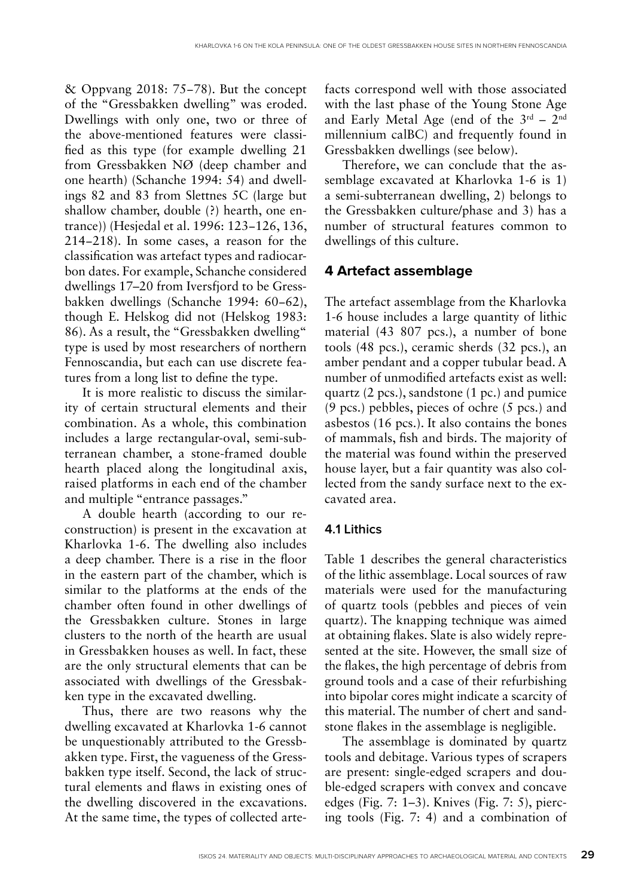& Oppvang 2018: 75−78). But the concept of the "Gressbakken dwelling" was eroded. Dwellings with only one, two or three of the above-mentioned features were classified as this type (for example dwelling 21 from Gressbakken NØ (deep chamber and one hearth) (Schanche 1994: 54) and dwellings 82 and 83 from Slettnes 5C (large but shallow chamber, double (?) hearth, one entrance)) (Hesjedal et al. 1996: 123−126, 136, 214−218). In some cases, a reason for the classification was artefact types and radiocarbon dates. For example, Schanche considered dwellings 17–20 from Iversfjord to be Gressbakken dwellings (Schanche 1994: 60−62), though E. Helskog did not (Helskog 1983: 86). As a result, the "Gressbakken dwelling" type is used by most researchers of northern Fennoscandia, but each can use discrete features from a long list to define the type.

It is more realistic to discuss the similarity of certain structural elements and their combination. As a whole, this combination includes a large rectangular-oval, semi-subterranean chamber, a stone-framed double hearth placed along the longitudinal axis, raised platforms in each end of the chamber and multiple "entrance passages."

A double hearth (according to our reconstruction) is present in the excavation at Kharlovka 1-6. The dwelling also includes a deep chamber. There is a rise in the floor in the eastern part of the chamber, which is similar to the platforms at the ends of the chamber often found in other dwellings of the Gressbakken culture. Stones in large clusters to the north of the hearth are usual in Gressbakken houses as well. In fact, these are the only structural elements that can be associated with dwellings of the Gressbakken type in the excavated dwelling.

Thus, there are two reasons why the dwelling excavated at Kharlovka 1-6 cannot be unquestionably attributed to the Gressbakken type. First, the vagueness of the Gressbakken type itself. Second, the lack of structural elements and flaws in existing ones of the dwelling discovered in the excavations. At the same time, the types of collected artefacts correspond well with those associated with the last phase of the Young Stone Age and Early Metal Age (end of the  $3^{rd}$  –  $2^{nd}$ millennium calBC) and frequently found in Gressbakken dwellings (see below).

Therefore, we can conclude that the assemblage excavated at Kharlovka 1-6 is 1) a semi-subterranean dwelling, 2) belongs to the Gressbakken culture/phase and 3) has a number of structural features common to dwellings of this culture.

# **4 Artefact assemblage**

The artefact assemblage from the Kharlovka 1-6 house includes a large quantity of lithic material (43 807 pcs.), a number of bone tools (48 pcs.), ceramic sherds (32 pcs.), an amber pendant and a copper tubular bead. A number of unmodified artefacts exist as well: quartz (2 pcs.), sandstone (1 pc.) and pumice (9 pcs.) pebbles, pieces of ochre (5 pcs.) and asbestos (16 pcs.). It also contains the bones of mammals, fish and birds. The majority of the material was found within the preserved house layer, but a fair quantity was also collected from the sandy surface next to the excavated area.

# **4.1 Lithics**

Table 1 describes the general characteristics of the lithic assemblage. Local sources of raw materials were used for the manufacturing of quartz tools (pebbles and pieces of vein quartz). The knapping technique was aimed at obtaining flakes. Slate is also widely represented at the site. However, the small size of the flakes, the high percentage of debris from ground tools and a case of their refurbishing into bipolar cores might indicate a scarcity of this material. The number of chert and sandstone flakes in the assemblage is negligible.

The assemblage is dominated by quartz tools and debitage. Various types of scrapers are present: single-edged scrapers and double-edged scrapers with convex and concave edges (Fig. 7: 1–3). Knives (Fig. 7: 5), piercing tools (Fig. 7: 4) and a combination of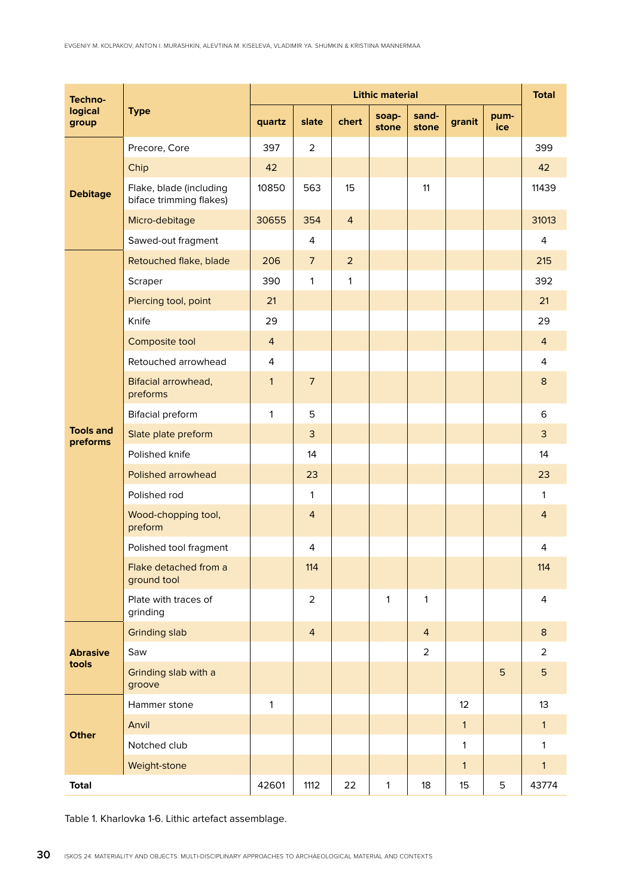| Techno-<br>logical<br>group  | <b>Type</b>                                        | <b>Lithic material</b> |                |                |                |                |              |             | <b>Total</b>   |
|------------------------------|----------------------------------------------------|------------------------|----------------|----------------|----------------|----------------|--------------|-------------|----------------|
|                              |                                                    | quartz                 | slate          | chert          | soap-<br>stone | sand-<br>stone | granit       | pum-<br>ice |                |
| <b>Debitage</b>              | Precore, Core                                      | 397                    | $\overline{2}$ |                |                |                |              |             | 399            |
|                              | Chip                                               | 42                     |                |                |                |                |              |             | 42             |
|                              | Flake, blade (including<br>biface trimming flakes) | 10850                  | 563            | 15             |                | 11             |              |             | 11439          |
|                              | Micro-debitage                                     | 30655                  | 354            | $\overline{4}$ |                |                |              |             | 31013          |
|                              | Sawed-out fragment                                 |                        | 4              |                |                |                |              |             | 4              |
| <b>Tools and</b><br>preforms | Retouched flake, blade                             | 206                    | $\overline{7}$ | $\overline{2}$ |                |                |              |             | 215            |
|                              | Scraper                                            | 390                    | $\mathbf{1}$   | $\mathbf{1}$   |                |                |              |             | 392            |
|                              | Piercing tool, point                               | 21                     |                |                |                |                |              |             | 21             |
|                              | Knife                                              | 29                     |                |                |                |                |              |             | 29             |
|                              | Composite tool                                     | $\overline{4}$         |                |                |                |                |              |             | $\overline{4}$ |
|                              | Retouched arrowhead                                | 4                      |                |                |                |                |              |             | $\overline{4}$ |
|                              | Bifacial arrowhead,<br>preforms                    | $\mathbf{1}$           | $\overline{7}$ |                |                |                |              |             | 8              |
|                              | <b>Bifacial preform</b>                            | 1                      | 5              |                |                |                |              |             | 6              |
|                              | Slate plate preform                                |                        | 3              |                |                |                |              |             | 3              |
|                              | Polished knife                                     |                        | 14             |                |                |                |              |             | 14             |
|                              | Polished arrowhead                                 |                        | 23             |                |                |                |              |             | 23             |
|                              | Polished rod                                       |                        | $\mathbf{1}$   |                |                |                |              |             | $\mathbf{1}$   |
|                              | Wood-chopping tool,<br>preform                     |                        | $\overline{4}$ |                |                |                |              |             | $\overline{4}$ |
|                              | Polished tool fragment                             |                        | 4              |                |                |                |              |             | 4              |
|                              | Flake detached from a<br>ground tool               |                        | 114            |                |                |                |              |             | 114            |
|                              | Plate with traces of<br>grinding                   |                        | $\overline{2}$ |                | $\mathbf{1}$   | 1              |              |             | 4              |
| <b>Abrasive</b><br>tools     | <b>Grinding slab</b>                               |                        | $\overline{4}$ |                |                | $\overline{4}$ |              |             | 8              |
|                              | Saw                                                |                        |                |                |                | $\overline{2}$ |              |             | $\overline{2}$ |
|                              | Grinding slab with a<br>groove                     |                        |                |                |                |                |              | 5           | 5              |
| <b>Other</b>                 | Hammer stone                                       | $\mathbf{1}$           |                |                |                |                | 12           |             | 13             |
|                              | Anvil                                              |                        |                |                |                |                | $\mathbf{1}$ |             | $\mathbf{1}$   |
|                              | Notched club                                       |                        |                |                |                |                | $\mathbf{1}$ |             | $\mathbf{1}$   |
|                              | Weight-stone                                       |                        |                |                |                |                | $\mathbf{1}$ |             | $\mathbf{1}$   |
| <b>Total</b>                 |                                                    | 42601                  | 1112           | 22             | $\mathbf{1}$   | 18             | 15           | 5           | 43774          |

Table 1. Kharlovka 1-6. Lithic artefact assemblage.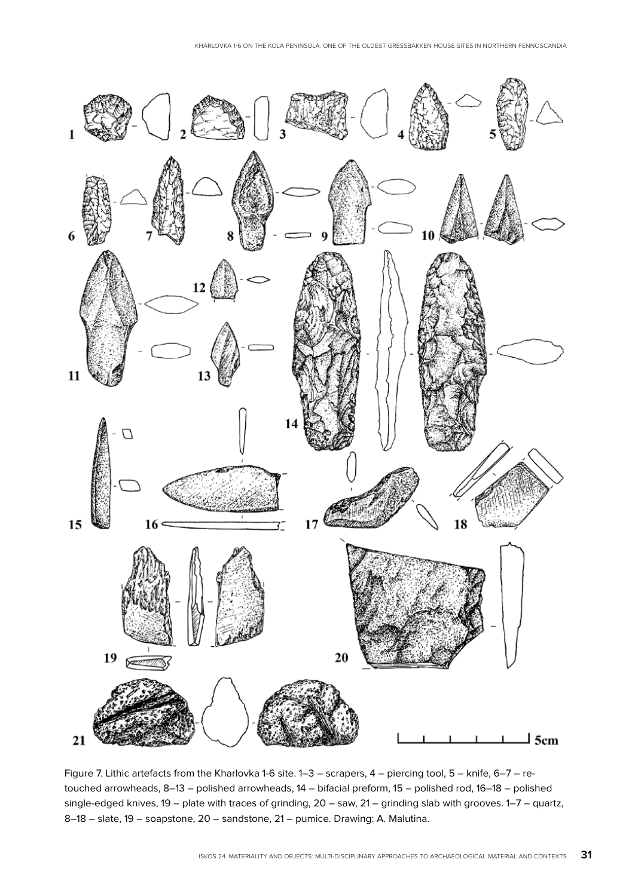

Figure 7. Lithic artefacts from the Kharlovka 1-6 site. 1–3 – scrapers, 4 – piercing tool, 5 – knife, 6–7 – retouched arrowheads, 8–13 – polished arrowheads, 14 – bifacial preform, 15 – polished rod, 16–18 – polished single-edged knives, 19 – plate with traces of grinding, 20 – saw, 21 – grinding slab with grooves. 1–7 – quartz, 8–18 – slate, 19 – soapstone, 20 – sandstone, 21 – pumice. Drawing: A. Malutina.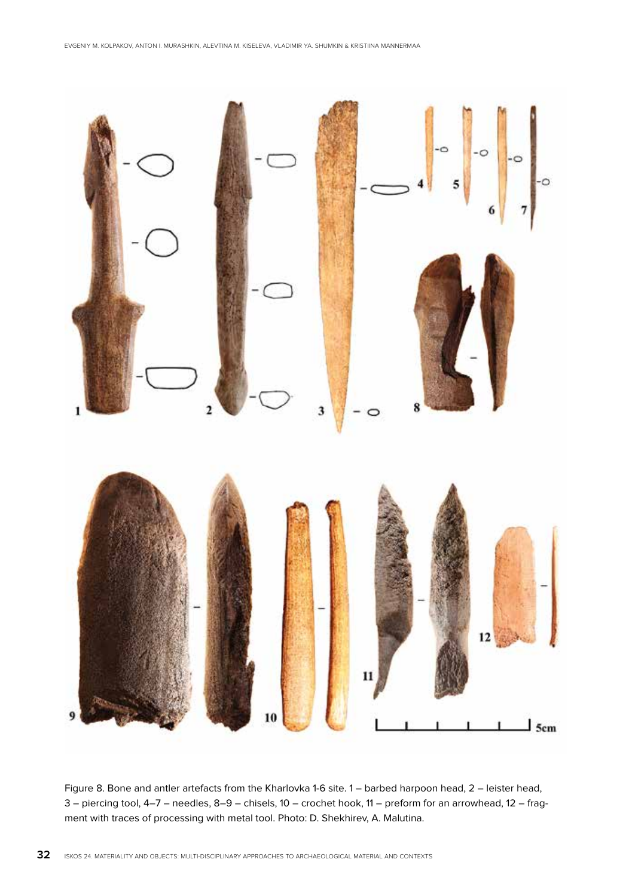

Figure 8. Bone and antler artefacts from the Kharlovka 1-6 site. 1 – barbed harpoon head, 2 – leister head, 3 – piercing tool, 4–7 – needles, 8–9 – chisels, 10 – crochet hook, 11 – preform for an arrowhead, 12 – fragment with traces of processing with metal tool. Photo: D. Shekhirev, A. Malutina.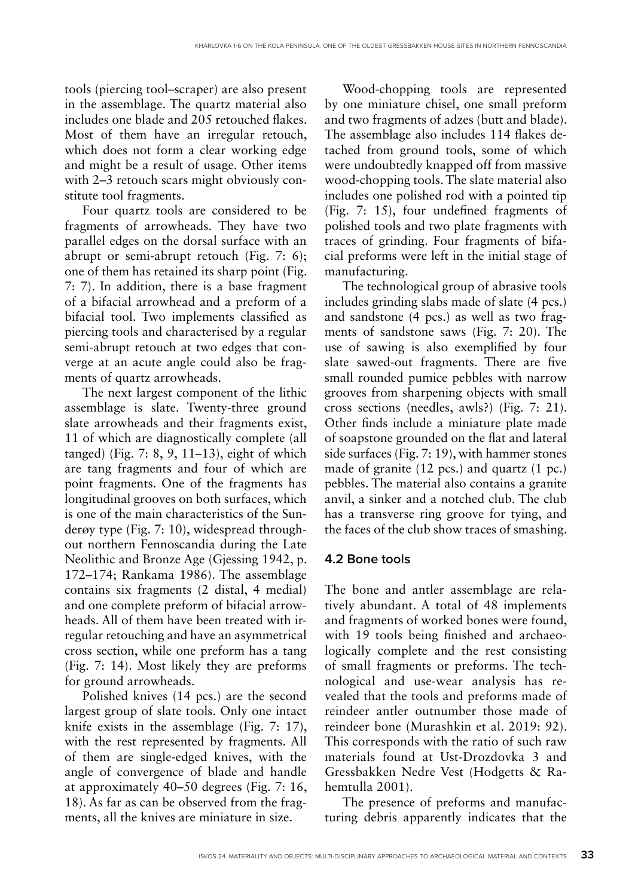tools (piercing tool–scraper) are also present in the assemblage. The quartz material also includes one blade and 205 retouched flakes. Most of them have an irregular retouch, which does not form a clear working edge and might be a result of usage. Other items with 2–3 retouch scars might obviously constitute tool fragments.

Four quartz tools are considered to be fragments of arrowheads. They have two parallel edges on the dorsal surface with an abrupt or semi-abrupt retouch (Fig. 7: 6); one of them has retained its sharp point (Fig. 7: 7). In addition, there is a base fragment of a bifacial arrowhead and a preform of a bifacial tool. Two implements classified as piercing tools and characterised by a regular semi-abrupt retouch at two edges that converge at an acute angle could also be fragments of quartz arrowheads.

The next largest component of the lithic assemblage is slate. Twenty-three ground slate arrowheads and their fragments exist, 11 of which are diagnostically complete (all tanged) (Fig. 7: 8, 9, 11–13), eight of which are tang fragments and four of which are point fragments. One of the fragments has longitudinal grooves on both surfaces, which is one of the main characteristics of the Sunderøy type (Fig. 7: 10), widespread throughout northern Fennoscandia during the Late Neolithic and Bronze Age (Gjessing 1942, p. 172–174; Rankama 1986). The assemblage contains six fragments (2 distal, 4 medial) and one complete preform of bifacial arrowheads. All of them have been treated with irregular retouching and have an asymmetrical cross section, while one preform has a tang (Fig. 7: 14). Most likely they are preforms for ground arrowheads.

Polished knives (14 pcs.) are the second largest group of slate tools. Only one intact knife exists in the assemblage (Fig. 7: 17), with the rest represented by fragments. All of them are single-edged knives, with the angle of convergence of blade and handle at approximately 40–50 degrees (Fig. 7: 16, 18). As far as can be observed from the fragments, all the knives are miniature in size.

Wood-chopping tools are represented by one miniature chisel, one small preform and two fragments of adzes (butt and blade). The assemblage also includes 114 flakes detached from ground tools, some of which were undoubtedly knapped off from massive wood-chopping tools. The slate material also includes one polished rod with a pointed tip (Fig. 7: 15), four undefined fragments of polished tools and two plate fragments with traces of grinding. Four fragments of bifacial preforms were left in the initial stage of manufacturing.

The technological group of abrasive tools includes grinding slabs made of slate (4 pcs.) and sandstone (4 pcs.) as well as two fragments of sandstone saws (Fig. 7: 20). The use of sawing is also exemplified by four slate sawed-out fragments. There are five small rounded pumice pebbles with narrow grooves from sharpening objects with small cross sections (needles, awls?) (Fig. 7: 21). Other finds include a miniature plate made of soapstone grounded on the flat and lateral side surfaces (Fig. 7: 19), with hammer stones made of granite (12 pcs.) and quartz (1 pc.) pebbles. The material also contains a granite anvil, a sinker and a notched club. The club has a transverse ring groove for tying, and the faces of the club show traces of smashing.

### **4.2 Bone tools**

The bone and antler assemblage are relatively abundant. A total of 48 implements and fragments of worked bones were found, with 19 tools being finished and archaeologically complete and the rest consisting of small fragments or preforms. The technological and use-wear analysis has revealed that the tools and preforms made of reindeer antler outnumber those made of reindeer bone (Murashkin et al. 2019: 92). This corresponds with the ratio of such raw materials found at Ust-Drozdovka 3 and Gressbakken Nedre Vest (Hodgetts & Rahemtulla 2001).

The presence of preforms and manufacturing debris apparently indicates that the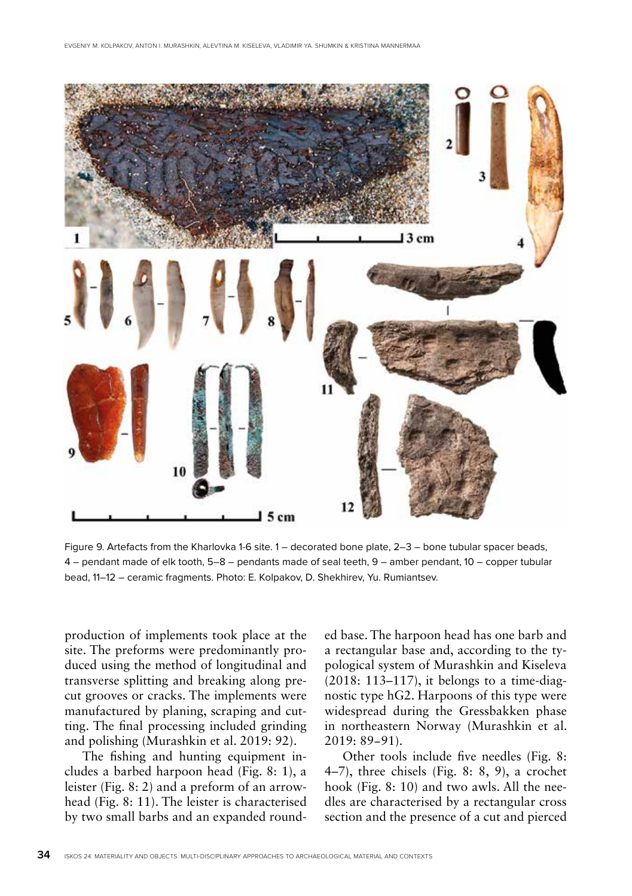

Figure 9. Artefacts from the Kharlovka 1-6 site. 1 – decorated bone plate, 2–3 – bone tubular spacer beads, 4 – pendant made of elk tooth, 5–8 – pendants made of seal teeth, 9 – amber pendant, 10 – copper tubular bead, 11–12 – ceramic fragments. Photo: E. Kolpakov, D. Shekhirev, Yu. Rumiantsev.

production of implements took place at the site. The preforms were predominantly produced using the method of longitudinal and transverse splitting and breaking along precut grooves or cracks. The implements were manufactured by planing, scraping and cutting. The final processing included grinding and polishing (Murashkin et al. 2019: 92).

The fishing and hunting equipment includes a barbed harpoon head (Fig. 8: 1), a leister (Fig. 8: 2) and a preform of an arrowhead (Fig. 8: 11). The leister is characterised by two small barbs and an expanded rounded base. The harpoon head has one barb and a rectangular base and, according to the typological system of Murashkin and Kiseleva (2018: 113–117), it belongs to a time-diagnostic type hG2. Harpoons of this type were widespread during the Gressbakken phase in northeastern Norway (Murashkin et al. 2019: 89−91).

Other tools include five needles (Fig. 8: 4–7), three chisels (Fig. 8: 8, 9), a crochet hook (Fig. 8: 10) and two awls. All the needles are characterised by a rectangular cross section and the presence of a cut and pierced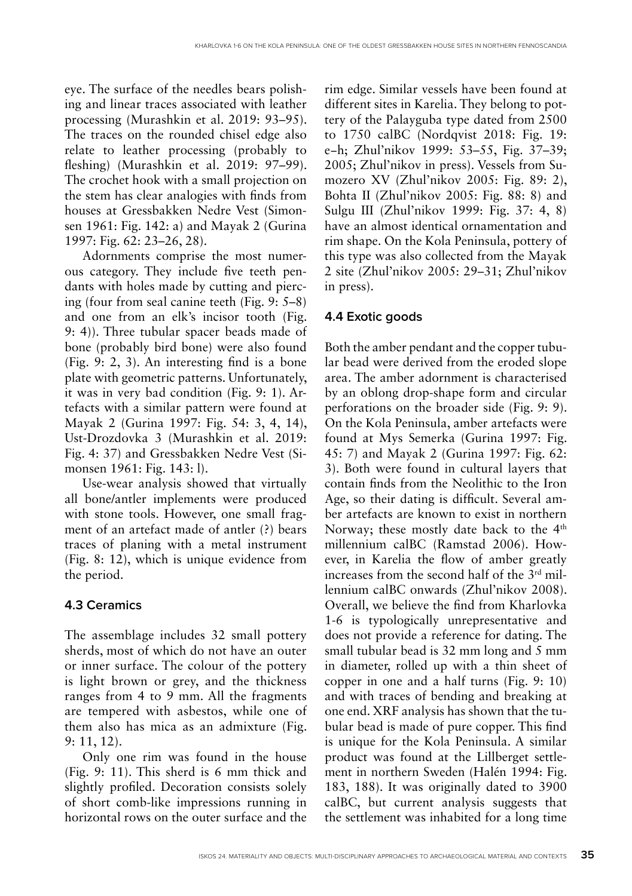eye. The surface of the needles bears polishing and linear traces associated with leather processing (Murashkin et al. 2019: 93–95). The traces on the rounded chisel edge also relate to leather processing (probably to fleshing) (Murashkin et al. 2019: 97–99). The crochet hook with a small projection on the stem has clear analogies with finds from houses at Gressbakken Nedre Vest (Simonsen 1961: Fig. 142: a) and Mayak 2 (Gurina 1997: Fig. 62: 23–26, 28).

Adornments comprise the most numerous category. They include five teeth pendants with holes made by cutting and piercing (four from seal canine teeth (Fig. 9: 5–8) and one from an elk's incisor tooth (Fig. 9: 4)). Three tubular spacer beads made of bone (probably bird bone) were also found (Fig. 9: 2, 3). An interesting find is a bone plate with geometric patterns. Unfortunately, it was in very bad condition (Fig. 9: 1). Artefacts with a similar pattern were found at Mayak 2 (Gurina 1997: Fig. 54: 3, 4, 14), Ust-Drozdovka 3 (Murashkin et al. 2019: Fig. 4: 37) and Gressbakken Nedre Vest (Simonsen 1961: Fig. 143: l).

Use-wear analysis showed that virtually all bone/antler implements were produced with stone tools. However, one small fragment of an artefact made of antler (?) bears traces of planing with a metal instrument (Fig. 8: 12), which is unique evidence from the period.

# **4.3 Ceramics**

The assemblage includes 32 small pottery sherds, most of which do not have an outer or inner surface. The colour of the pottery is light brown or grey, and the thickness ranges from 4 to 9 mm. All the fragments are tempered with asbestos, while one of them also has mica as an admixture (Fig. 9: 11, 12).

Only one rim was found in the house (Fig. 9: 11). This sherd is 6 mm thick and slightly profiled. Decoration consists solely of short comb-like impressions running in horizontal rows on the outer surface and the rim edge. Similar vessels have been found at different sites in Karelia. They belong to pottery of the Palayguba type dated from 2500 to 1750 calBC (Nordqvist 2018: Fig. 19: e−h; Zhul'nikov 1999: 53–55, Fig. 37–39; 2005; Zhul'nikov in press). Vessels from Sumozero XV (Zhul'nikov 2005: Fig. 89: 2), Bohta II (Zhul'nikov 2005: Fig. 88: 8) and Sulgu III (Zhul'nikov 1999: Fig. 37: 4, 8) have an almost identical ornamentation and rim shape. On the Kola Peninsula, pottery of this type was also collected from the Mayak 2 site (Zhul'nikov 2005: 29–31; Zhul'nikov in press).

# **4.4 Exotic goods**

Both the amber pendant and the copper tubular bead were derived from the eroded slope area. The amber adornment is characterised by an oblong drop-shape form and circular perforations on the broader side (Fig. 9: 9). On the Kola Peninsula, amber artefacts were found at Mys Semerka (Gurina 1997: Fig. 45: 7) and Mayak 2 (Gurina 1997: Fig. 62: 3). Both were found in cultural layers that contain finds from the Neolithic to the Iron Age, so their dating is difficult. Several amber artefacts are known to exist in northern Norway; these mostly date back to the 4<sup>th</sup> millennium calBC (Ramstad 2006). However, in Karelia the flow of amber greatly increases from the second half of the 3rd millennium calBC onwards (Zhul'nikov 2008). Overall, we believe the find from Kharlovka 1-6 is typologically unrepresentative and does not provide a reference for dating. The small tubular bead is 32 mm long and 5 mm in diameter, rolled up with a thin sheet of copper in one and a half turns (Fig. 9: 10) and with traces of bending and breaking at one end. XRF analysis has shown that the tubular bead is made of pure copper. This find is unique for the Kola Peninsula. A similar product was found at the Lillberget settlement in northern Sweden (Halén 1994: Fig. 183, 188). It was originally dated to 3900 calBC, but current analysis suggests that the settlement was inhabited for a long time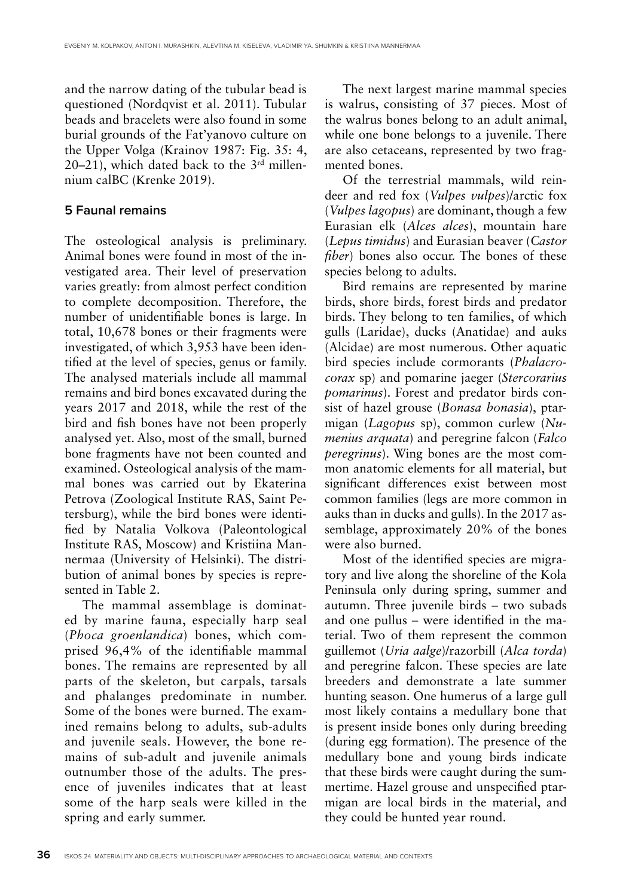and the narrow dating of the tubular bead is questioned (Nordqvist et al. 2011). Tubular beads and bracelets were also found in some burial grounds of the Fat'yanovo culture on the Upper Volga (Krainov 1987: Fig. 35: 4,  $20-21$ ), which dated back to the  $3<sup>rd</sup>$  millennium calBC (Кrenke 2019).

#### **5 Faunal remains**

The osteological analysis is preliminary. Animal bones were found in most of the investigated area. Their level of preservation varies greatly: from almost perfect condition to complete decomposition. Therefore, the number of unidentifiable bones is large. In total, 10,678 bones or their fragments were investigated, of which 3,953 have been identified at the level of species, genus or family. The analysed materials include all mammal remains and bird bones excavated during the years 2017 and 2018, while the rest of the bird and fish bones have not been properly analysed yet. Also, most of the small, burned bone fragments have not been counted and examined. Osteological analysis of the mammal bones was carried out by Ekaterina Petrova (Zoological Institute RAS, Saint Petersburg), while the bird bones were identified by Natalia Volkova (Paleontological Institute RAS, Moscow) and Kristiina Mannermaa (University of Helsinki). The distribution of animal bones by species is represented in Table 2.

The mammal assemblage is dominated by marine fauna, especially harp seal (*Phoca groenlandica*) bones, which comprised 96,4% of the identifiable mammal bones. The remains are represented by all parts of the skeleton, but carpals, tarsals and phalanges predominate in number. Some of the bones were burned. The examined remains belong to adults, sub-adults and juvenile seals. However, the bone remains of sub-adult and juvenile animals outnumber those of the adults. The presence of juveniles indicates that at least some of the harp seals were killed in the spring and early summer.

The next largest marine mammal species is walrus, consisting of 37 pieces. Most of the walrus bones belong to an adult animal, while one bone belongs to a juvenile. There are also cetaceans, represented by two fragmented bones.

Of the terrestrial mammals, wild reindeer and red fox (*Vulpes vulpes*)/arctic fox (*Vulpes lagopus*) are dominant, though a few Eurasian elk (*Alces alces*), mountain hare (*Lepus timidus*) and Eurasian beaver (*Castor fiber*) bones also occur. The bones of these species belong to adults.

Bird remains are represented by marine birds, shore birds, forest birds and predator birds. They belong to ten families, of which gulls (Laridae), ducks (Anatidae) and auks (Alcidae) are most numerous. Other aquatic bird species include cormorants (*Phalacrocorax* sp) and pomarine jaeger (*Stercorarius pomarinus*). Forest and predator birds consist of hazel grouse (*Bonasa bonasia*), ptarmigan (*Lagopus* sp), common curlew (*Numenius arquata*) and peregrine falcon (*Falco peregrinus*). Wing bones are the most common anatomic elements for all material, but significant differences exist between most common families (legs are more common in auks than in ducks and gulls). In the 2017 assemblage, approximately 20% of the bones were also burned.

Most of the identified species are migratory and live along the shoreline of the Kola Peninsula only during spring, summer and autumn. Three juvenile birds – two subads and one pullus – were identified in the material. Two of them represent the common guillemot (*Uria aalge*)/razorbill (*Alca torda*) and peregrine falcon. These species are late breeders and demonstrate a late summer hunting season. One humerus of a large gull most likely contains a medullary bone that is present inside bones only during breeding (during egg formation). The presence of the medullary bone and young birds indicate that these birds were caught during the summertime. Hazel grouse and unspecified ptarmigan are local birds in the material, and they could be hunted year round.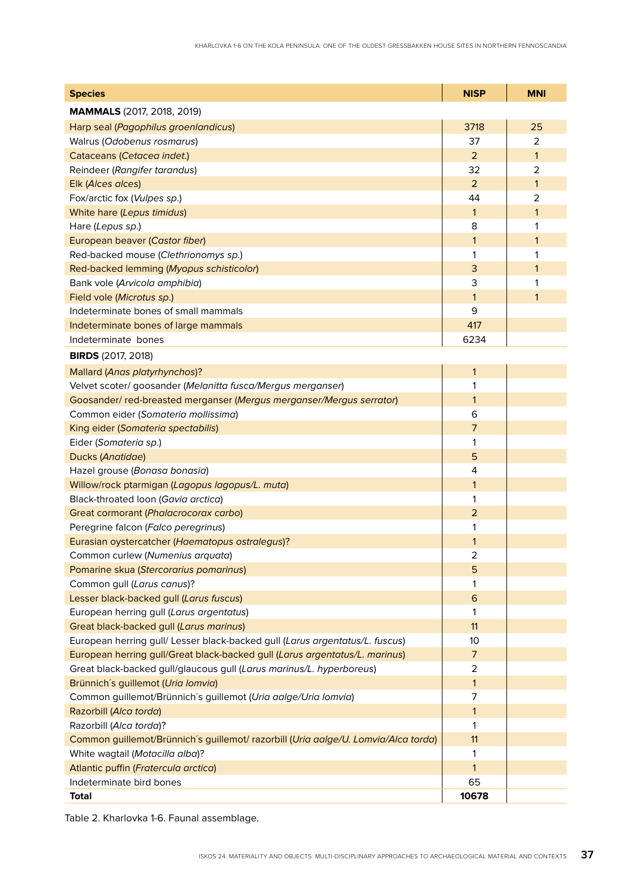| <b>Species</b>                                                                     | <b>NISP</b>    | <b>MNI</b>   |  |  |  |  |  |  |
|------------------------------------------------------------------------------------|----------------|--------------|--|--|--|--|--|--|
| <b>MAMMALS</b> (2017, 2018, 2019)                                                  |                |              |  |  |  |  |  |  |
| Harp seal (Pagophilus groenlandicus)                                               | 3718           | 25           |  |  |  |  |  |  |
| Walrus (Odobenus rosmarus)                                                         | 37             | 2            |  |  |  |  |  |  |
| Cataceans (Cetacea indet.)                                                         | $\overline{2}$ | $\mathbf{1}$ |  |  |  |  |  |  |
| Reindeer (Rangifer tarandus)                                                       | 32             | 2            |  |  |  |  |  |  |
| Elk (Alces alces)                                                                  | $\overline{2}$ | $\mathbf{1}$ |  |  |  |  |  |  |
| Fox/arctic fox (Vulpes sp.)                                                        | 44             | 2            |  |  |  |  |  |  |
| White hare (Lepus timidus)                                                         | $\mathbf{1}$   | $\mathbf{1}$ |  |  |  |  |  |  |
| Hare (Lepus sp.)                                                                   | 8              | 1            |  |  |  |  |  |  |
| European beaver (Castor fiber)                                                     | $\mathbf{1}$   | 1            |  |  |  |  |  |  |
| Red-backed mouse (Clethrionomys sp.)                                               | 1              | 1            |  |  |  |  |  |  |
| Red-backed lemming (Myopus schisticolor)                                           | 3              | 1            |  |  |  |  |  |  |
| Bank vole (Arvicola amphibia)                                                      | 3              | 1            |  |  |  |  |  |  |
| Field vole (Microtus sp.)                                                          | $\mathbf{1}$   | 1            |  |  |  |  |  |  |
| Indeterminate bones of small mammals                                               | 9              |              |  |  |  |  |  |  |
| Indeterminate bones of large mammals                                               | 417            |              |  |  |  |  |  |  |
| Indeterminate bones                                                                | 6234           |              |  |  |  |  |  |  |
| <b>BIRDS</b> (2017, 2018)                                                          |                |              |  |  |  |  |  |  |
| Mallard (Anas platyrhynchos)?                                                      | 1              |              |  |  |  |  |  |  |
| Velvet scoter/ goosander (Melanitta fusca/Mergus merganser)                        | 1              |              |  |  |  |  |  |  |
| Goosander/ red-breasted merganser (Mergus merganser/Mergus serrator)               | $\mathbf{1}$   |              |  |  |  |  |  |  |
| Common eider (Somateria mollissima)                                                | 6              |              |  |  |  |  |  |  |
| King eider (Somateria spectabilis)                                                 | $\overline{7}$ |              |  |  |  |  |  |  |
| Eider (Somateria sp.)                                                              |                |              |  |  |  |  |  |  |
| Ducks (Anatidae)                                                                   | 5              |              |  |  |  |  |  |  |
| Hazel grouse (Bonasa bonasia)                                                      |                |              |  |  |  |  |  |  |
| Willow/rock ptarmigan (Lagopus lagopus/L. muta)                                    |                |              |  |  |  |  |  |  |
| Black-throated loon (Gavia arctica)                                                | 1              |              |  |  |  |  |  |  |
| Great cormorant (Phalacrocorax carbo)                                              | $\overline{2}$ |              |  |  |  |  |  |  |
| Peregrine falcon (Falco peregrinus)                                                | 1              |              |  |  |  |  |  |  |
| Eurasian oystercatcher (Haematopus ostralegus)?                                    |                |              |  |  |  |  |  |  |
| Common curlew (Numenius arquata)                                                   | 2              |              |  |  |  |  |  |  |
| Pomarine skua (Stercorarius pomarinus)                                             | 5              |              |  |  |  |  |  |  |
| Common gull (Larus canus)?                                                         |                |              |  |  |  |  |  |  |
| Lesser black-backed gull (Larus fuscus)                                            |                |              |  |  |  |  |  |  |
| European herring gull (Larus argentatus)                                           | 1              |              |  |  |  |  |  |  |
| Great black-backed gull (Larus marinus)                                            | 11             |              |  |  |  |  |  |  |
| European herring gull/ Lesser black-backed gull (Larus argentatus/L. fuscus)       | 10             |              |  |  |  |  |  |  |
| European herring gull/Great black-backed gull (Larus argentatus/L. marinus)        | 7              |              |  |  |  |  |  |  |
| Great black-backed gull/glaucous gull (Larus marinus/L. hyperboreus)               | $\overline{2}$ |              |  |  |  |  |  |  |
| Brünnich's guillemot (Uria lomvia)                                                 |                |              |  |  |  |  |  |  |
| Common guillemot/Brünnich's guillemot (Uria aalge/Uria lomvia)                     |                |              |  |  |  |  |  |  |
| Razorbill (Alca torda)                                                             |                |              |  |  |  |  |  |  |
| Razorbill (Alca torda)?                                                            |                |              |  |  |  |  |  |  |
| Common guillemot/Brünnich's guillemot/ razorbill (Uria aalge/U. Lomvia/Alca torda) |                |              |  |  |  |  |  |  |
| White wagtail (Motacilla alba)?                                                    |                |              |  |  |  |  |  |  |
| Atlantic puffin (Fratercula arctica)                                               |                |              |  |  |  |  |  |  |
| Indeterminate bird bones                                                           | 65             |              |  |  |  |  |  |  |
| Total                                                                              | 10678          |              |  |  |  |  |  |  |

Table 2. Kharlovka 1-6. Faunal assemblage.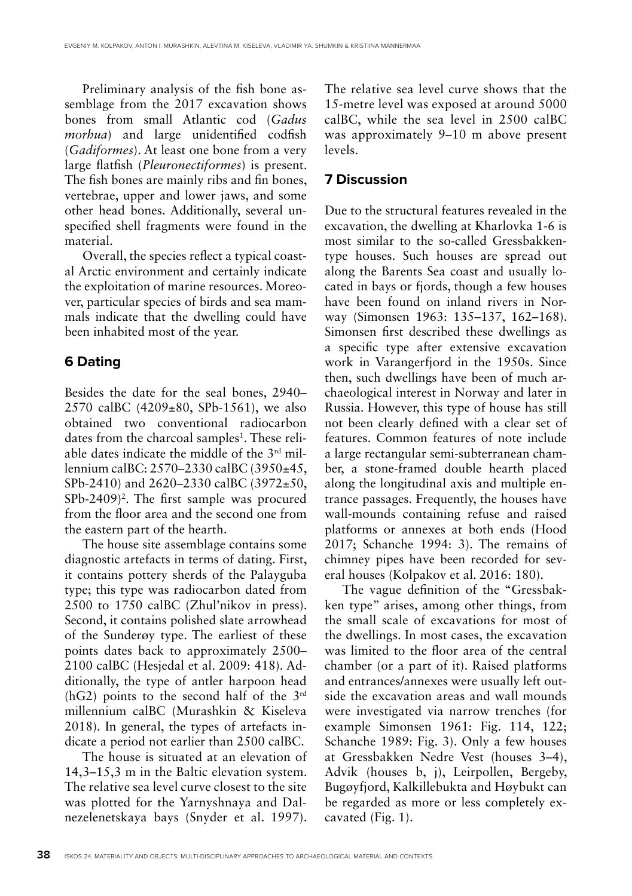Preliminary analysis of the fish bone assemblage from the 2017 excavation shows bones from small Atlantic cod (*Gadus morhua*) and large unidentified codfish (*Gadiformes*). At least one bone from a very large flatfish (*Pleuronectiformes*) is present. The fish bones are mainly ribs and fin bones, vertebrae, upper and lower jaws, and some other head bones. Additionally, several unspecified shell fragments were found in the material.

Overall, the species reflect a typical coastal Arctic environment and certainly indicate the exploitation of marine resources. Moreover, particular species of birds and sea mammals indicate that the dwelling could have been inhabited most of the year.

# **6 Dating**

Besides the date for the seal bones, 2940– 2570 calBC  $(4209 \pm 80,$  SPb-1561), we also obtained two conventional radiocarbon dates from the charcoal samples<sup>1</sup>. These reliable dates indicate the middle of the 3rd millennium calBC: 2570–2330 calBC (3950±45, SPb-2410) and 2620–2330 calBC (3972±50,  $SPb-2409$ <sup>2</sup>. The first sample was procured from the floor area and the second one from the eastern part of the hearth.

The house site assemblage contains some diagnostic artefacts in terms of dating. First, it contains pottery sherds of the Palayguba type; this type was radiocarbon dated from 2500 to 1750 calBC (Zhul'nikov in press). Second, it contains polished slate arrowhead of the Sunderøy type. The earliest of these points dates back to approximately 2500– 2100 calBC (Hesjedal et al. 2009: 418). Additionally, the type of antler harpoon head (hG2) points to the second half of the 3rd millennium calBC (Murashkin & Kiseleva 2018). In general, the types of artefacts indicate a period not earlier than 2500 calBC.

The house is situated at an elevation of 14,3–15,3 m in the Baltic elevation system. The relative sea level curve closest to the site was plotted for the Yarnyshnaya and Dalnezelenetskaya bays (Snyder et al. 1997).

The relative sea level curve shows that the 15-metre level was exposed at around 5000 calBC, while the sea level in 2500 calBC was approximately 9–10 m above present levels.

# **7 Discussion**

Due to the structural features revealed in the excavation, the dwelling at Kharlovka 1-6 is most similar to the so-called Gressbakkentype houses. Such houses are spread out along the Barents Sea coast and usually located in bays or fjords, though a few houses have been found on inland rivers in Norway (Simonsen 1963: 135–137, 162–168). Simonsen first described these dwellings as a specific type after extensive excavation work in Varangerfjord in the 1950s. Since then, such dwellings have been of much archaeological interest in Norway and later in Russia. However, this type of house has still not been clearly defined with a clear set of features. Common features of note include a large rectangular semi-subterranean chamber, a stone-framed double hearth placed along the longitudinal axis and multiple entrance passages. Frequently, the houses have wall-mounds containing refuse and raised platforms or annexes at both ends (Hood 2017; Schanche 1994: 3). The remains of chimney pipes have been recorded for several houses (Kolpakov et al. 2016: 180).

The vague definition of the "Gressbakken type" arises, among other things, from the small scale of excavations for most of the dwellings. In most cases, the excavation was limited to the floor area of the central chamber (or a part of it). Raised platforms and entrances/annexes were usually left outside the excavation areas and wall mounds were investigated via narrow trenches (for example Simonsen 1961: Fig. 114, 122; Schanche 1989: Fig. 3). Only a few houses at Gressbakken Nedre Vest (houses 3–4), Advik (houses b, j), Leirpollen, Bergeby, Bugøyfjord, Kalkillebukta and Høybukt can be regarded as more or less completely excavated (Fig. 1).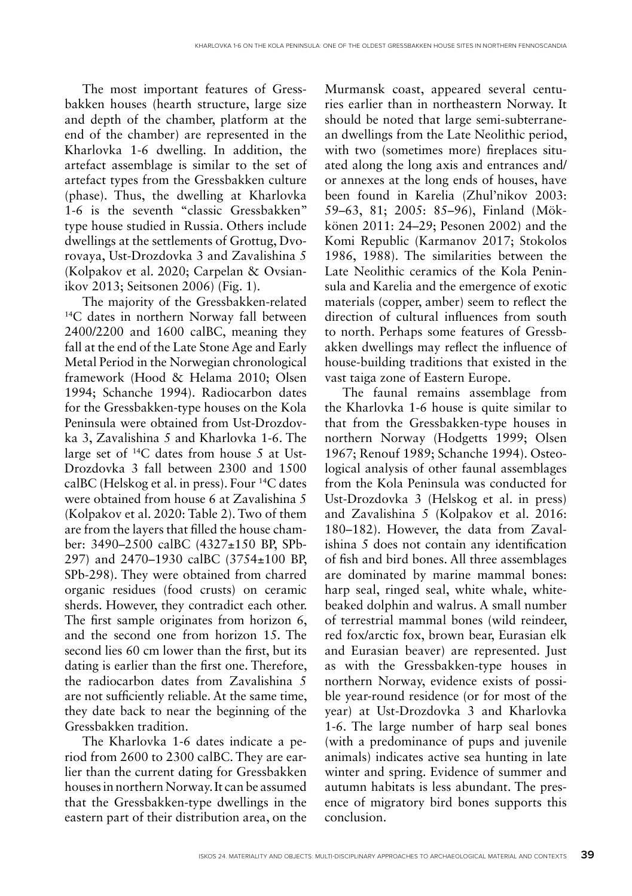The most important features of Gressbakken houses (hearth structure, large size and depth of the chamber, platform at the end of the chamber) are represented in the Kharlovka 1-6 dwelling. In addition, the artefact assemblage is similar to the set of artefact types from the Gressbakken culture (phase). Thus, the dwelling at Kharlovka 1-6 is the seventh "classic Gressbakken" type house studied in Russia. Others include dwellings at the settlements of Grottug, Dvorovaya, Ust-Drozdovka 3 and Zavalishina 5 (Kolpakov et al. 2020; Carpelan & Ovsianikov 2013; Seitsonen 2006) (Fig. 1).

The majority of the Gressbakken-related <sup>14</sup>C dates in northern Norway fall between 2400/2200 and 1600 calBC, meaning they fall at the end of the Late Stone Age and Early Metal Period in the Norwegian chronological framework (Hood & Helama 2010; Olsen 1994; Schanche 1994). Radiocarbon dates for the Gressbakken-type houses on the Kola Peninsula were obtained from Ust-Drozdovka 3, Zavalishina 5 and Kharlovka 1-6. The large set of 14C dates from house 5 at Ust-Drozdovka 3 fall between 2300 and 1500 calBC (Helskog et al. in press). Four 14C dates were obtained from house 6 at Zavalishina 5 (Kolpakov et al. 2020: Table 2). Two of them are from the layers that filled the house chamber: 3490–2500 calBC (4327±150 BP, SPb-297) and 2470–1930 calBC (3754±100 BP, SPb-298). They were obtained from charred organic residues (food crusts) on ceramic sherds. However, they contradict each other. The first sample originates from horizon 6, and the second one from horizon 15. The second lies 60 cm lower than the first, but its dating is earlier than the first one. Therefore, the radiocarbon dates from Zavalishina 5 are not sufficiently reliable. At the same time, they date back to near the beginning of the Gressbakken tradition.

The Kharlovka 1-6 dates indicate a period from 2600 to 2300 calBC. They are earlier than the current dating for Gressbakken houses in northern Norway. It can be assumed that the Gressbakken-type dwellings in the eastern part of their distribution area, on the

Murmansk coast, appeared several centuries earlier than in northeastern Norway. It should be noted that large semi-subterranean dwellings from the Late Neolithic period, with two (sometimes more) fireplaces situated along the long axis and entrances and/ or annexes at the long ends of houses, have been found in Karelia (Zhul'nikov 2003: 59–63, 81; 2005: 85–96), Finland (Mökkönen 2011: 24–29; Pesonen 2002) and the Komi Republic (Karmanov 2017; Stokolos 1986, 1988). The similarities between the Late Neolithic ceramics of the Kola Peninsula and Karelia and the emergence of exotic materials (copper, amber) seem to reflect the direction of cultural influences from south to north. Perhaps some features of Gressbakken dwellings may reflect the influence of house-building traditions that existed in the vast taiga zone of Eastern Europe.

The faunal remains assemblage from the Kharlovka 1-6 house is quite similar to that from the Gressbakken-type houses in northern Norway (Hodgetts 1999; Olsen 1967; Renouf 1989; Schanche 1994). Osteological analysis of other faunal assemblages from the Kola Peninsula was conducted for Ust-Drozdovka 3 (Helskog et al. in press) and Zavalishina 5 (Kolpakov et al. 2016: 180–182). However, the data from Zavalishina 5 does not contain any identification of fish and bird bones. All three assemblages are dominated by marine mammal bones: harp seal, ringed seal, white whale, whitebeaked dolphin and walrus. A small number of terrestrial mammal bones (wild reindeer, red fox/arctic fox, brown bear, Eurasian elk and Eurasian beaver) are represented. Just as with the Gressbakken-type houses in northern Norway, evidence exists of possible year-round residence (or for most of the year) at Ust-Drozdovka 3 and Kharlovka 1-6. The large number of harp seal bones (with a predominance of pups and juvenile animals) indicates active sea hunting in late winter and spring. Evidence of summer and autumn habitats is less abundant. The presence of migratory bird bones supports this conclusion.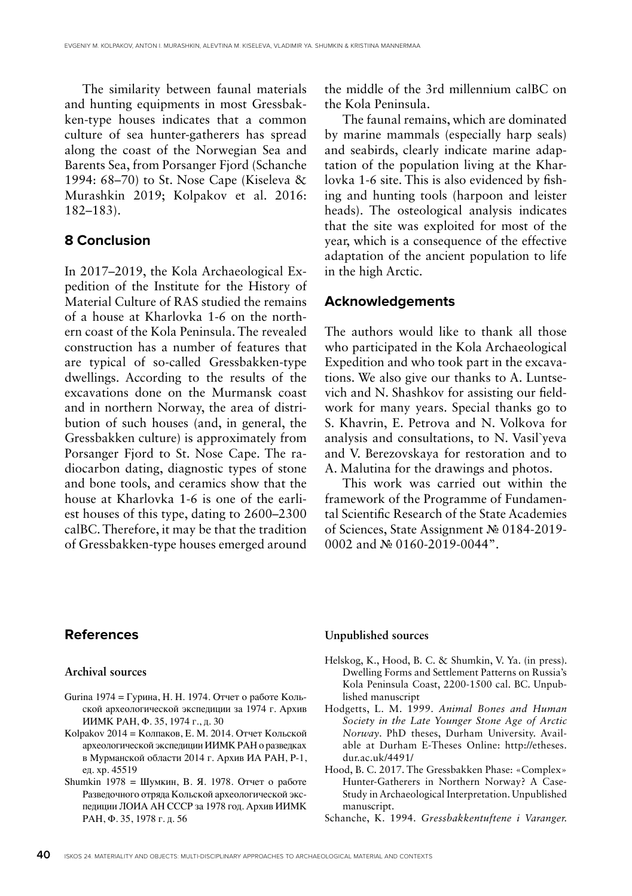The similarity between faunal materials and hunting equipments in most Gressbakken-type houses indicates that a common culture of sea hunter-gatherers has spread along the coast of the Norwegian Sea and Barents Sea, from Porsanger Fjord (Schanche 1994: 68–70) to St. Nose Cape (Kiseleva & Murashkin 2019; Kolpakov et al. 2016: 182–183).

### **8 Conclusion**

In 2017–2019, the Kola Archaeological Expedition of the Institute for the History of Material Culture of RAS studied the remains of a house at Kharlovka 1-6 on the northern coast of the Kola Peninsula. The revealed construction has a number of features that are typical of so-called Gressbakken-type dwellings. According to the results of the excavations done on the Murmansk coast and in northern Norway, the area of distribution of such houses (and, in general, the Gressbakken culture) is approximately from Porsanger Fjord to St. Nose Cape. The radiocarbon dating, diagnostic types of stone and bone tools, and ceramics show that the house at Kharlovka 1-6 is one of the earliest houses of this type, dating to 2600–2300 calBC. Therefore, it may be that the tradition of Gressbakken-type houses emerged around

the middle of the 3rd millennium calBC on the Kola Peninsula.

The faunal remains, which are dominated by marine mammals (especially harp seals) and seabirds, clearly indicate marine adaptation of the population living at the Kharlovka 1-6 site. This is also evidenced by fishing and hunting tools (harpoon and leister heads). The osteological analysis indicates that the site was exploited for most of the year, which is a consequence of the effective adaptation of the ancient population to life in the high Arctic.

#### **Acknowledgements**

The authors would like to thank all those who participated in the Kola Archaeological Expedition and who took part in the excavations. We also give our thanks to A. Luntsevich and N. Shashkov for assisting our fieldwork for many years. Special thanks go to S. Khavrin, E. Petrova and N. Volkova for analysis and consultations, to N. Vasil`yeva and V. Berezovskaya for restoration and to A. Malutina for the drawings and photos.

This work was carried out within the framework of the Programme of Fundamental Scientific Research of the State Academies of Sciences, State Assignment № 0184-2019- 0002 and № 0160-2019-0044".

## **References**

#### **Archival sources**

- Gurina 1974 = Гурина, Н. Н. 1974. Отчет о работе Кольской археологической экспедиции за 1974 г. Архив ИИМК РАН, Ф. 35, 1974 г., д. 30
- Kolpakov 2014 = Колпаков, Е. М. 2014. Отчет Кольской археологической экспедиции ИИМК РАН о разведках в Мурманской области 2014 г. Архив ИА РАН, Р-1, ед. хр. 45519
- Shumkin 1978 = Шумкин, В. Я. 1978. Отчет о работе Разведочного отряда Кольской археологической экспедиции ЛОИА АН СССР за 1978 год. Архив ИИМК РАН, Ф. 35, 1978 г. д. 56

#### **Unpublished sources**

- Helskog, K., Hood, B. C. & Shumkin, V. Ya. (in press). Dwelling Forms and Settlement Patterns on Russia's Kola Peninsula Coast, 2200-1500 cal. BC. Unpublished manuscript
- Hodgetts, L. M. 1999. *Animal Bones and Human Society in the Late Younger Stone Age of Arctic Norway*. PhD theses, Durham University. Available at Durham E-Theses Online: http://etheses. dur.ac.uk/4491/
- Hood, B. C. 2017. The Gressbakken Phase: «Complex» Hunter-Gatherers in Northern Norway? A Case-Study in Archaeological Interpretation. Unpublished manuscript.
- Schanche, K. 1994. *Gressbakkentuftene i Varanger.*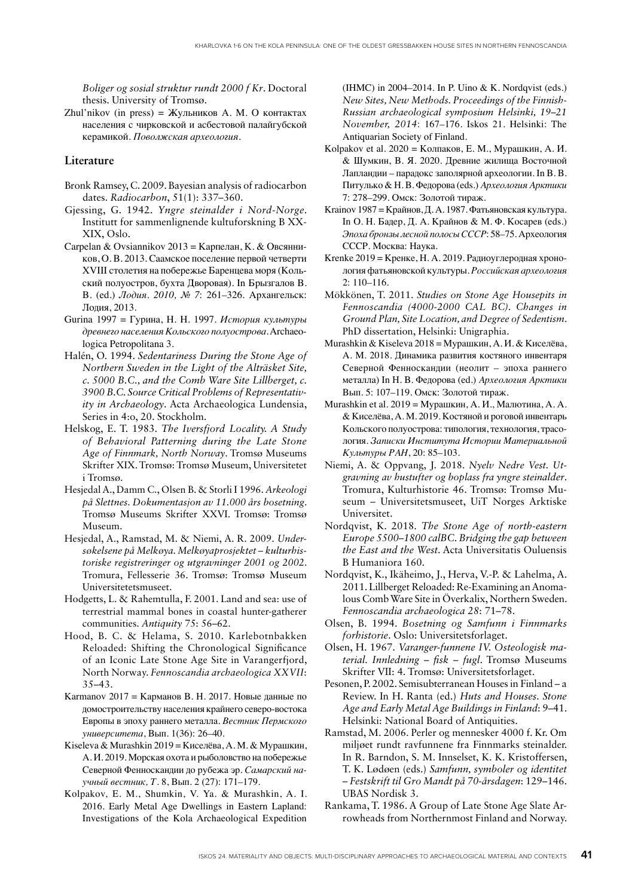*Boliger og sosial struktur rundt 2000 f Kr*. Doctoral thesis. University of Tromsø.

Zhul'nikov (in press) = Жульников А. М. О контактах населения с чирковской и асбестовой палайгубской керамикой. *Поволжская археология*.

#### **Literature**

- Bronk Ramsey, C. 2009. Bayesian analysis of radiocarbon dates. *Radiocarbon*, 51(1): 337–360.
- Gjessing, G. 1942. *Yngre steinalder i Nord-Norge*. Institutt for sammenlignende kultuforskning B XX-XIX, Oslo.
- Carpelan & Ovsiannikov 2013 = Карпелан, К. & Овсянников, О. В. 2013. Саамское поселение первой четверти XVIII столетия на побережье Баренцева моря (Кольский полуостров, бухта Дворовая). In Брызгалов В. В. (ed.) *Лодия. 2010, № 7*: 261–326. Архангельск: Лодия, 2013.
- Gurina 1997 = Гурина, Н. Н. 1997. *История культуры древнего населения Кольского полуострова*. Archaeologica Petropolitana 3.
- Halén, O. 1994. *Sedentariness During the Stone Age of Northern Sweden in the Light of the Alträsket Site, c. 5000 B.C., and the Comb Ware Site Lillberget, c. 3900 B.C. Source Critical Problems of Representativity in Archaeology*. Acta Archaeologica Lundensia, Series in 4:o, 20. Stockholm.
- Helskog, E. T. 1983. *The Iversfjord Locality. A Study of Behavioral Patterning during the Late Stone Age of Finnmark, North Norway*. Tromsø Museums Skrifter XIX. Tromsø: Tromsø Museum, Universitetet i Tromsø.
- Hesjedal A., Damm C., Olsen B. & Storli I 1996. *Arkeologi på Slettnes. Dokumentasjon av 11.000 års bosetning*. Tromsø Museums Skrifter XXVI. Tromsø: Tromsø Museum.
- Hesjedal, A., Ramstad, M. & Niemi, A. R. 2009. *Undersøkelsene på Melkøya. Melkøyaprosjektet – kulturhistoriske registreringer og utgravninger 2001 og 2002*. Tromura, Fellesserie 36. Tromsø: Tromsø Museum Universitetetsmuseet.
- Hodgetts, L. & Rahemtulla, F. 2001. Land and sea: use of terrestrial mammal bones in coastal hunter-gatherer communities. *Antiquity* 75: 56–62.
- Hood, B. C. & Helama, S. 2010. Karlebotnbakken Reloaded: Shifting the Chronological Significance of an Iconic Late Stone Age Site in Varangerfjord, North Norway. *Fennoscandia archaeologica XXVII*: 35–43.
- Karmanov 2017 = Карманов В. Н. 2017. Новые данные по домостроительству населения крайнего северо-востока Европы в эпоху раннего металла. *Вестник Пермского университета*, Вып. 1(36): 26–40.
- Kiseleva & Murashkin 2019 = Киселёва, А. М. & Мурашкин, А. И. 2019. Морская охота и рыболовство на побережье Северной Фенноскандии до рубежа эр. *Самарский научный вестник, Т*. 8, Вып. 2 (27): 171–179.
- Kolpakov, E. M., Shumkin, V. Ya. & Murashkin, A. I. 2016. Early Metal Age Dwellings in Eastern Lapland: Investigations of the Kola Archaeological Expedition

(IHMC) in 2004–2014. In P. Uino & K. Nordqvist (eds.) *New Sites, New Methods. Proceedings of the Finnish-Russian archaeological symposium Helsinki, 19–21 November, 2014*: 167–176. Iskos 21. Helsinki: The Antiquarian Society of Finland.

- Kolpakov et al. 2020 = Колпаков, Е. М., Мурашкин, А. И. & Шумкин, В. Я. 2020. Древние жилища Восточной Лапландии – парадокс заполярной археологии. In В. В. Питулько & Н. В. Федорова (eds.) *Археология Арктики* 7: 278–299. Омск: Золотой тираж.
- Krainov 1987 = Крайнов, Д. А. 1987. Фатьяновская культура. In О. Н. Бадер, Д. А. Крайнов & М. Ф. Косарев (eds.) *Эпоха бронзы лесной полосы СССР*: 58–75*.* Археология СССР. Москва: Наука.
- Krenke 2019 = Кренке, Н. А. 2019. Радиоуглеродная хронология фатьяновской культуры*. Российская археология* 2: 110–116.
- Mökkönen, T. 2011. *Studies on Stone Age Housepits in Fennoscandia (4000-2000 CAL BC). Changes in Ground Plan, Site Location, and Degree of Sedentism*. PhD dissertation, Helsinki: Unigraphia.
- Murashkin & Kiseleva 2018 = Мурашкин, А. И. & Киселёва, А. М. 2018. Динамика развития костяного инвентаря Северной Фенноскандии (неолит – эпоха раннего металла) In Н. В. Федорова (ed.) *Археология Арктики*  Вып. 5: 107–119. Омск: Золотой тираж.
- Murashkin et al. 2019 = Мурашкин, А. И., Малютина, А. А. & Киселёва, А. М. 2019. Костяной и роговой инвентарь Кольского полуострова: типология, технология, трасология. *Записки Института Истории Материальной Культуры РАН*, 20: 85–103.
- Niemi, A. & Oppvang, J. 2018. *Nyelv Nedre Vest. Utgravning av hustufter og boplass fra yngre steinalder*. Tromura, Kulturhistorie 46. Tromsø: Tromsø Museum – Universitetsmuseet, UiT Norges Arktiske Universitet.
- Nordqvist, K. 2018. *The Stone Age of north-eastern Europe 5500–1800 calBC. Bridging the gap between the East and the West*. Acta Universitatis Ouluensis B Humaniora 160.
- Nordqvist, K., Ikäheimo, J., Herva, V.-P. & Lahelma, A. 2011. Lillberget Reloaded: Re-Examining an Anomalous Comb Ware Site in Överkalix, Northern Sweden. *Fennoscandia archaeologica 28*: 71–78.
- Olsen, B. 1994. *Bosetning og Samfunn i Finnmarks forhistorie*. Oslo: Universitetsforlaget.
- Olsen, H. 1967. *Varanger-funnene IV. Osteologisk material. Innledning – fisk – fugl*. Tromsø Museums Skrifter VII: 4. Tromsø: Universitetsforlaget.
- Pesonen, P. 2002. Semisubterranean Houses in Finland a Review. In H. Ranta (ed.) *Huts and Houses. Stone Age and Early Metal Age Buildings in Finland*: 9–41. Helsinki: National Board of Antiquities.
- Ramstad, M. 2006. Perler og mennesker 4000 f. Kr. Om miljøet rundt ravfunnene fra Finnmarks steinalder. In R. Barndon, S. M. Innselset, K. K. Kristoffersen, T. K. Lødøen (eds.) *Samfunn, symboler og identitet – Festskrift til Gro Mandt på 70-årsdagen*: 129–146. UBAS Nordisk 3.
- Rankama, T. 1986. A Group of Late Stone Age Slate Arrowheads from Northernmost Finland and Norway.